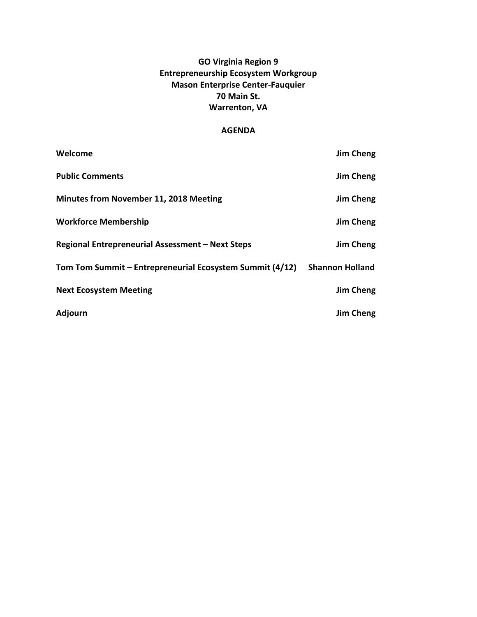# **GO Virginia Region 9 Entrepreneurship Ecosystem Workgroup Mason Enterprise Center-Fauquier 70 Main St. Warrenton, VA**

# **AGENDA**

| Welcome                                                  | Jim Cheng              |
|----------------------------------------------------------|------------------------|
| <b>Public Comments</b>                                   | Jim Cheng              |
| <b>Minutes from November 11, 2018 Meeting</b>            | Jim Cheng              |
| <b>Workforce Membership</b>                              | Jim Cheng              |
| Regional Entrepreneurial Assessment - Next Steps         | Jim Cheng              |
| Tom Tom Summit - Entrepreneurial Ecosystem Summit (4/12) | <b>Shannon Holland</b> |
| <b>Next Ecosystem Meeting</b>                            | Jim Cheng              |
| <b>Adjourn</b>                                           | Jim Cheng              |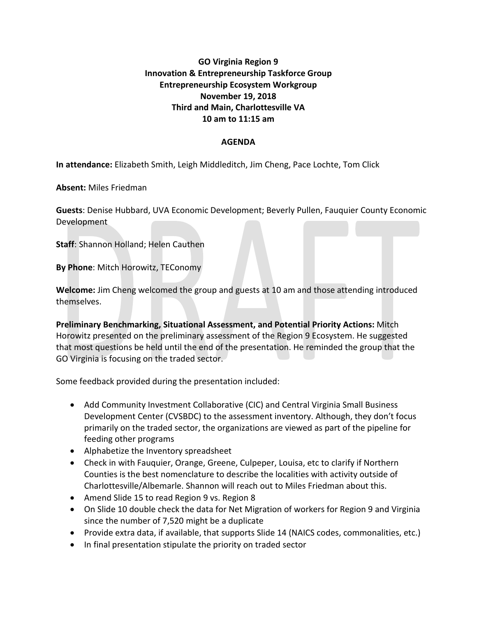# **GO Virginia Region 9 Innovation & Entrepreneurship Taskforce Group Entrepreneurship Ecosystem Workgroup November 19, 2018 Third and Main, Charlottesville VA 10 am to 11:15 am**

# **AGENDA**

**In attendance:** Elizabeth Smith, Leigh Middleditch, Jim Cheng, Pace Lochte, Tom Click

**Absent:** Miles Friedman

**Guests**: Denise Hubbard, UVA Economic Development; Beverly Pullen, Fauquier County Economic Development

**Staff**: Shannon Holland; Helen Cauthen

**By Phone**: Mitch Horowitz, TEConomy

**Welcome:** Jim Cheng welcomed the group and guests at 10 am and those attending introduced themselves.

**Preliminary Benchmarking, Situational Assessment, and Potential Priority Actions:** Mitch Horowitz presented on the preliminary assessment of the Region 9 Ecosystem. He suggested that most questions be held until the end of the presentation. He reminded the group that the GO Virginia is focusing on the traded sector.

Some feedback provided during the presentation included:

- Add Community Investment Collaborative (CIC) and Central Virginia Small Business Development Center (CVSBDC) to the assessment inventory. Although, they don't focus primarily on the traded sector, the organizations are viewed as part of the pipeline for feeding other programs
- Alphabetize the Inventory spreadsheet
- Check in with Fauquier, Orange, Greene, Culpeper, Louisa, etc to clarify if Northern Counties is the best nomenclature to describe the localities with activity outside of Charlottesville/Albemarle. Shannon will reach out to Miles Friedman about this.
- Amend Slide 15 to read Region 9 vs. Region 8
- On Slide 10 double check the data for Net Migration of workers for Region 9 and Virginia since the number of 7,520 might be a duplicate
- Provide extra data, if available, that supports Slide 14 (NAICS codes, commonalities, etc.)
- In final presentation stipulate the priority on traded sector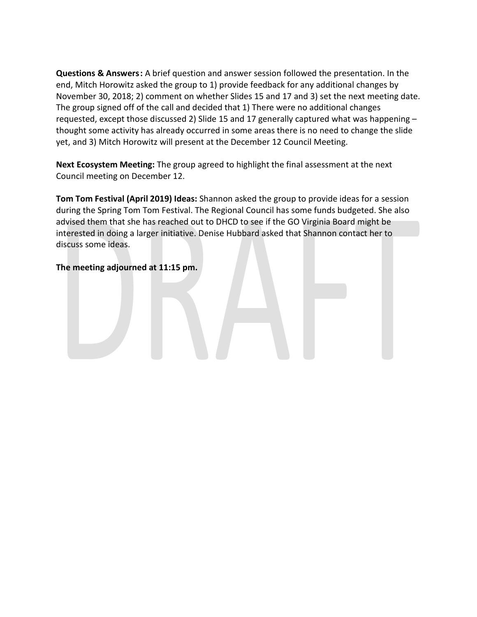**Questions & Answers:** A brief question and answer session followed the presentation. In the end, Mitch Horowitz asked the group to 1) provide feedback for any additional changes by November 30, 2018; 2) comment on whether Slides 15 and 17 and 3) set the next meeting date. The group signed off of the call and decided that 1) There were no additional changes requested, except those discussed 2) Slide 15 and 17 generally captured what was happening – thought some activity has already occurred in some areas there is no need to change the slide yet, and 3) Mitch Horowitz will present at the December 12 Council Meeting.

**Next Ecosystem Meeting:** The group agreed to highlight the final assessment at the next Council meeting on December 12.

**Tom Tom Festival (April 2019) Ideas:** Shannon asked the group to provide ideas for a session during the Spring Tom Tom Festival. The Regional Council has some funds budgeted. She also advised them that she has reached out to DHCD to see if the GO Virginia Board might be interested in doing a larger initiative. Denise Hubbard asked that Shannon contact her to discuss some ideas.

# **The meeting adjourned at 11:15 pm.**

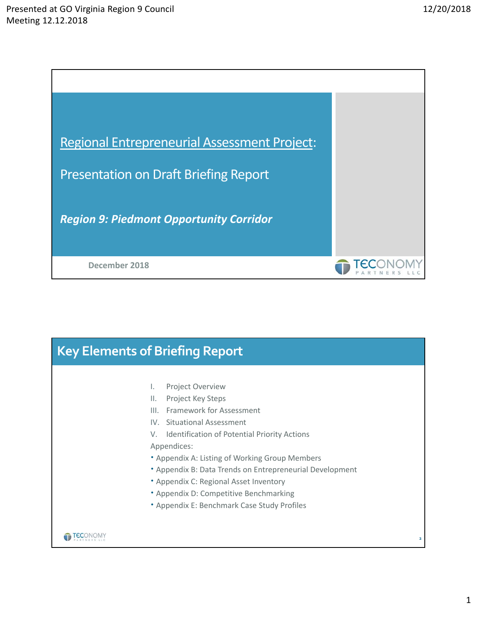

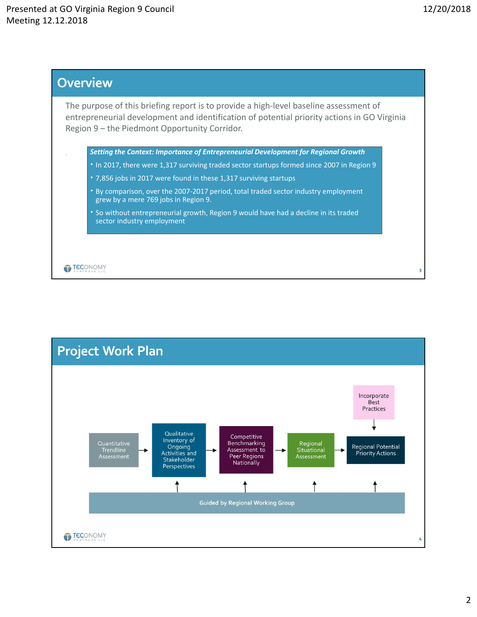

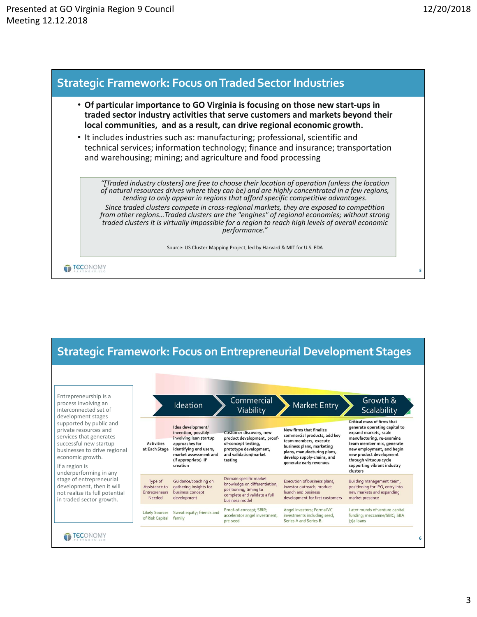



3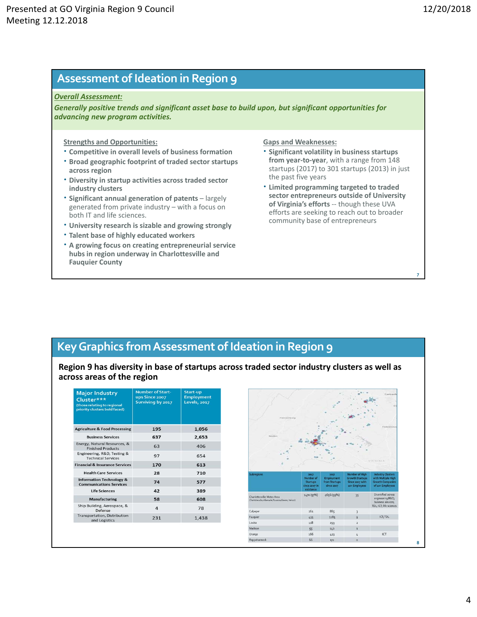**7**

# **Assessment of Ideation in Region 9**

### *Overall Assessment:*

*Generally positive trends and significant asset base to build upon, but significant opportunities for advancing new program activities.*

## **Strengths and Opportunities:**

- **Competitive in overall levels of business formation**
- **Broad geographic footprint of traded sector startups across region**
- **Diversity in startup activities across traded sector industry clusters**
- **Significant annual generation of patents**  largely generated from private industry – with a focus on both IT and life sciences.
- **University research is sizable and growing strongly**
- **Talent base of highly educated workers**
- **A growing focus on creating entrepreneurial service hubs in region underway in Charlottesville and Fauquier County**

## **Gaps and Weaknesses:**

- **Significant volatility in business startups from year‐to‐year**, with a range from 148 startups (2017) to 301 startups (2013) in just the past five years
- **Limited programming targeted to traded sector entrepreneurs outside of University of Virginia's efforts** ‐‐ though these UVA efforts are seeking to reach out to broader community base of entrepreneurs

# **KeyGraphics fromAssessment of Ideation in Region 9**

**Region 9 has diversity in base of startups across traded sector industry clusters as well as across areas of the region**

| <b>Major Industry</b><br>Cluster***<br>(those relating to regional<br>priority clusters bold faced) | <b>Number of Start-</b><br><b>ups Since 2007</b><br>Surviving by 2017 | Start-up<br><b>Employment</b><br><b>Levels</b> , 2017 |
|-----------------------------------------------------------------------------------------------------|-----------------------------------------------------------------------|-------------------------------------------------------|
| <b>Agriculture &amp; Food Processing</b>                                                            | 195                                                                   | 1,056                                                 |
| <b>Business Services</b>                                                                            | 637                                                                   | 2,653                                                 |
| Energy, Natural Resources, &<br><b>Finished Products</b>                                            | 63                                                                    | 406                                                   |
| Engineering, R&D, Testing &<br><b>Technical Services</b>                                            | 97                                                                    | 654                                                   |
| <b>Financial &amp; Insurance Services</b>                                                           | 170                                                                   | 613                                                   |
| <b>Health Care Services</b>                                                                         | 28                                                                    | 710                                                   |
| <b>Information Technology &amp;</b><br><b>Communications Services</b>                               | 74                                                                    | 577                                                   |
| <b>Life Sciences</b>                                                                                | 42                                                                    | 389                                                   |
| <b>Manufacturing</b>                                                                                | 58                                                                    | 608                                                   |
| Ship Building, Aerospace, &<br>Defense                                                              | $\overline{a}$                                                        | 78                                                    |
| <b>Transportation, Distribution</b><br>and Logistics                                                | 231                                                                   | 1,438                                                 |

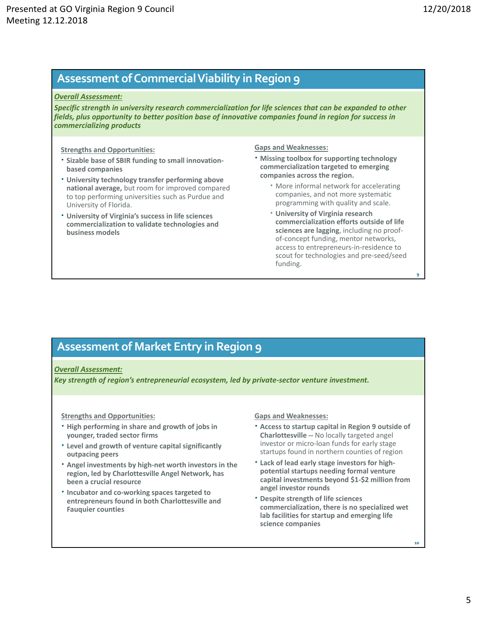**9**

**10**

# **Assessment ofCommercialViability in Region 9**

### *Overall Assessment:*

*Specific strength in university research commercialization for life sciences that can be expanded to other fields, plus opportunity to better position base of innovative companies found in region for success in commercializing products*

### **Strengths and Opportunities:**

- **Sizable base of SBIR funding to small innovation‐ based companies**
- **University technology transfer performing above national average,** but room for improved compared to top performing universities such as Purdue and University of Florida.
- **University of Virginia's success in life sciences commercialization to validate technologies and business models**

### **Gaps and Weaknesses:**

- **Missing toolbox for supporting technology commercialization targeted to emerging companies across the region.** 
	- More informal network for accelerating companies, and not more systematic programming with quality and scale.
	- **University of Virginia research commercialization efforts outside of life sciences are lagging**, including no proof‐ of‐concept funding, mentor networks, access to entrepreneurs‐in‐residence to scout for technologies and pre‐seed/seed funding.

# **Assessment of Market Entry in Region 9**

### *Overall Assessment:*

*Key strength of region's entrepreneurial ecosystem, led by private‐sector venture investment.* 

### **Strengths and Opportunities:**

- **High performing in share and growth of jobs in younger, traded sector firms**
- **Level and growth of venture capital significantly outpacing peers**
- **Angel investments by high‐net worth investors in the region, led by Charlottesville Angel Network, has been a crucial resource**
- **Incubator and co‐working spaces targeted to entrepreneurs found in both Charlottesville and Fauquier counties**

### **Gaps and Weaknesses:**

- **Access to startup capital in Region 9 outside of Charlottesville ‐‐** No locally targeted angel investor or micro‐loan funds for early stage startups found in northern counties of region
- **Lack of lead early stage investors for high‐ potential startups needing formal venture capital investments beyond \$1‐\$2 million from angel investor rounds**
- **Despite strength of life sciences commercialization, there is no specialized wet lab facilities for startup and emerging life science companies**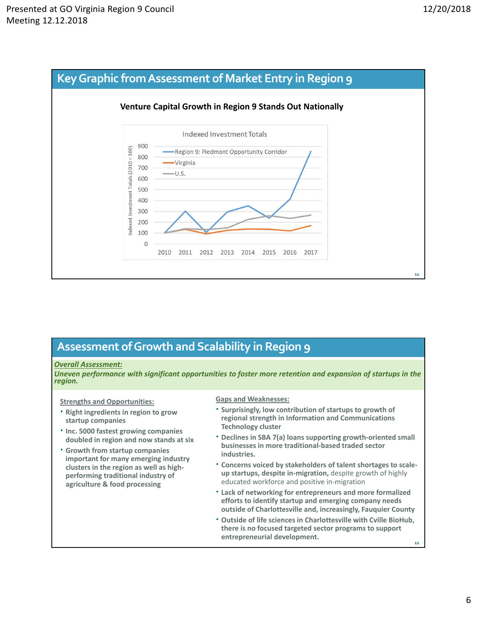

# **Assessment ofGrowth and Scalability in Region 9**

## *Overall Assessment:*

*Uneven performance with significant opportunities to foster more retention and expansion of startups in the region.* 

**Strengths and Opportunities:** 

- **Right ingredients in region to grow startup companies**
- **Inc. 5000 fastest growing companies doubled in region and now stands at six**
- **Growth from startup companies important for many emerging industry clusters in the region as well as high‐ performing traditional industry of agriculture & food processing**

**Gaps and Weaknesses:** 

- **Surprisingly, low contribution of startups to growth of regional strength in Information and Communications Technology cluster**
- **Declines in SBA 7(a) loans supporting growth‐oriented small businesses in more traditional‐based traded sector industries.**
- **Concerns voiced by stakeholders of talent shortages to scale‐ up startups, despite in‐migration,** despite growth of highly educated workforce and positive in‐migration
- **Lack of networking for entrepreneurs and more formalized efforts to identify startup and emerging company needs outside of Charlottesville and, increasingly, Fauquier County**
- **12 Outside of life sciences in Charlottesville with Cville BioHub, there is no focused targeted sector programs to support entrepreneurial development.**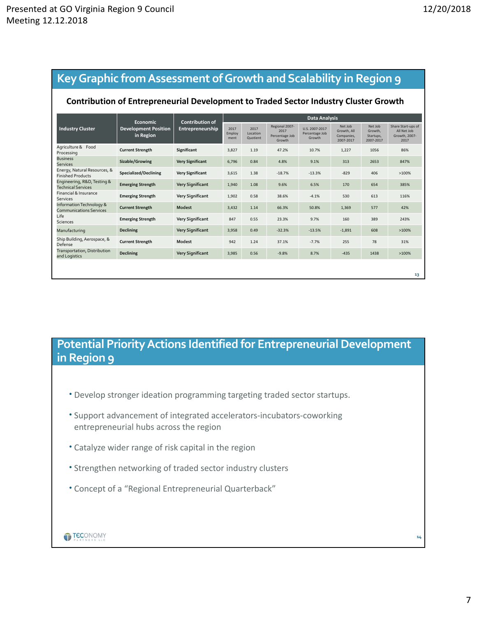# **KeyGraphic fromAssessment ofGrowth and Scalability in Region 9**

## **Contribution of Entrepreneurial Development to Traded Sector Industry Cluster Growth**

|                                                            | Economic<br><b>Development Position</b><br>in Region | <b>Contribution of</b>  | Data Analysis          |                              |                                                    |                                            |                                                   |                                              |                                                            |
|------------------------------------------------------------|------------------------------------------------------|-------------------------|------------------------|------------------------------|----------------------------------------------------|--------------------------------------------|---------------------------------------------------|----------------------------------------------|------------------------------------------------------------|
| <b>Industry Cluster</b>                                    |                                                      | Entrepreneurship        | 2017<br>Employ<br>ment | 2017<br>Location<br>Quotient | Regional 2007-<br>2017<br>Percentage Job<br>Growth | U.S. 2007-2017<br>Percentage Job<br>Growth | Net Job<br>Growth, All<br>Companies,<br>2007-2017 | Net Job<br>Growth.<br>Startups.<br>2007-2017 | Share Start-ups of<br>All Net Job<br>Growth, 2007-<br>2017 |
| Agriculture & Food<br>Processing                           | <b>Current Strength</b>                              | Significant             | 3,827                  | 1.19                         | 47.2%                                              | 10.7%                                      | 1,227                                             | 1056                                         | 86%                                                        |
| <b>Business</b><br><b>Services</b>                         | Sizable/Growing                                      | <b>Very Significant</b> | 6,796                  | 0.84                         | 4.8%                                               | 9.1%                                       | 313                                               | 2653                                         | 847%                                                       |
| Energy, Natural Resources, &<br><b>Finished Products</b>   | Specialized/Declining                                | <b>Very Significant</b> | 3,615                  | 1.38                         | $-18.7%$                                           | $-13.3%$                                   | $-829$                                            | 406                                          | >100%                                                      |
| Engineering, R&D, Testing &<br><b>Technical Services</b>   | <b>Emerging Strength</b>                             | <b>Very Significant</b> | 1,940                  | 1.08                         | 9.6%                                               | 6.5%                                       | 170                                               | 654                                          | 385%                                                       |
| Financial & Insurance<br>Services                          | <b>Emerging Strength</b>                             | <b>Very Significant</b> | 1,902                  | 0.58                         | 38.6%                                              | $-4.1%$                                    | 530                                               | 613                                          | 116%                                                       |
| Information Technology &<br><b>Communications Services</b> | <b>Current Strength</b>                              | Modest                  | 3,432                  | 1.14                         | 66.3%                                              | 50.8%                                      | 1,369                                             | 577                                          | 42%                                                        |
| Life<br><b>Sciences</b>                                    | <b>Emerging Strength</b>                             | <b>Very Significant</b> | 847                    | 0.55                         | 23.3%                                              | 9.7%                                       | 160                                               | 389                                          | 243%                                                       |
| Manufacturing                                              | <b>Declining</b>                                     | <b>Very Significant</b> | 3,958                  | 0.49                         | $-32.3%$                                           | $-13.5%$                                   | $-1,891$                                          | 608                                          | >100%                                                      |
| Ship Building, Aerospace, &<br>Defense                     | <b>Current Strength</b>                              | Modest                  | 942                    | 1.24                         | 37.1%                                              | $-7.7%$                                    | 255                                               | 78                                           | 31%                                                        |
| Transportation, Distribution<br>and Logistics              | <b>Declining</b>                                     | <b>Very Significant</b> | 3,985                  | 0.56                         | $-9.8%$                                            | 8.7%                                       | $-435$                                            | 1438                                         | >100%                                                      |
|                                                            |                                                      |                         |                        |                              |                                                    |                                            |                                                   |                                              |                                                            |
|                                                            |                                                      |                         |                        |                              |                                                    |                                            |                                                   |                                              | 13                                                         |

# **Potential Priority Actions Identified for Entrepreneurial Development in Region 9**

- Develop stronger ideation programming targeting traded sector startups.
- Support advancement of integrated accelerators‐incubators‐coworking entrepreneurial hubs across the region
- Catalyze wider range of risk capital in the region
- Strengthen networking of traded sector industry clusters
- Concept of a "Regional Entrepreneurial Quarterback"



7

**14**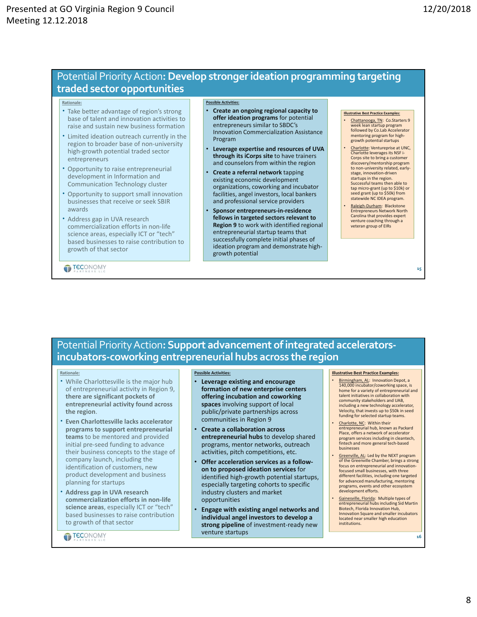# Potential PriorityAction**:Develop strongerideation programming targeting traded sector opportunities**

#### **Rationale:**

- Take better advantage of region's strong base of talent and innovation activities to raise and sustain new business formation
- Limited ideation outreach currently in the region to broader base of non-university high‐growth potential traded sector entrepreneurs
- Opportunity to raise entrepreneurial development in Information and Communication Technology cluster
- Opportunity to support small innovation businesses that receive or seek SBIR awards
- Address gap in UVA research commercialization efforts in non‐life science areas, especially ICT or "tech" based businesses to raise contribution to growth of that sector

**TECONOMY** 

### **Possible Activities:**

- **Create an ongoing regional capacity to offer ideation programs** for potential entrepreneurs similar to SBDC's Innovation Commercialization Assistance Program
- **Leverage expertise and resources of UVA through its iCorps site** to have trainers and counselors from within the region
- **Create a referral network** tapping existing economic development organizations, coworking and incubator facilities, angel investors, local bankers and professional service providers
- **Sponsor entrepreneurs‐in‐residence fellows in targeted sectors relevant to Region 9** to work with identified regional entrepreneurial startup teams that successfully complete initial phases of ideation program and demonstrate high‐ growth potential

#### **Illustrative Best Practice Examples:**

- Chattanooga, TN: Co.Starters 9 week lean startup program followed by Co.Lab Accelerator mentoring program for highgrowth potential startups
- Charlotte: Ventureprise at UNC, Charlotte leverages its NSF i‐ Corps site to bring a custom discovery/mentorship program to non-university related, earlystage, innovation‐driven startups in the region. Successful teams then able to tap micro‐grant (up to \$10k) or seed grant (up to \$50k) from statewide NC IDEA program.
- Raleigh‐Durham: Blackstone Entrepreneurs Network North Carolina that provides expert venture coaching through a veteran group of EIRs

**15**

# Potential PriorityAction**:Support advancement ofintegrated accelerators‐ incubators‐coworking entrepreneurial hubs across the region**

#### **Rationale:**

- While Charlottesville is the major hub of entrepreneurial activity in Region 9, **there are significant pockets of entrepreneurial activity found across the region**.
- **Even Charlottesville lacks accelerator programs to support entrepreneurial teams** to be mentored and provided initial pre‐seed funding to advance their business concepts to the stage of company launch, including the identification of customers, new product development and business planning for startups
- **Address gap in UVA research commercialization efforts in non‐life science areas**, especially ICT or "tech" based businesses to raise contribution to growth of that sector

**TECONOMY** 

#### **Possible Activities:**

- **Leverage existing and encourage formation of new enterprise centers offering incubation and coworking spaces** involving support of local public/private partnerships across communities in Region 9
- **Create a collaboration across entrepreneurial hubs** to develop shared programs, mentor networks, outreach activities, pitch competitions, etc.
- **Offer acceleration services as a follow‐ on to proposed ideation services** for identified high‐growth potential startups, especially targeting cohorts to specific industry clusters and market opportunities
- **Engage with existing angel networks and individual angel investors to develop a strong pipeline** of investment‐ready new venture startups

#### **Illustrative Best Practice Examples:**

- Birmingham, AL: Innovation Depot, a 140,000 incubator/coworking space, is home for a variety of entrepreneurial and talent initiatives in collaboration with community stakeholders and UAB, including a new technology accelerator, Velocity, that invests up to \$50k in seed funding for selected startup teams.
- Charlotte, NC: Within their<br>
entrepreneurial hub, known as Packard Place, offers a network of accelerator program services including in cleantech, fintech and more general tech‐based businesses
- Greenville, AL: Led by the NEXT program of the Greenville Chamber, brings a strong focus on entrepreneurial and innovation‐ focused small businesses, with three different facilities, including one targeted for advanced manufacturing, mentoring programs, events and other ecosystem development efforts.
- Gainesville, Florida: Multiple types of entrepreneurial hubs including Sid Martin Biotech, Florida Innovation Hub, Innovation Square and smaller incubators located near smaller high education institutions.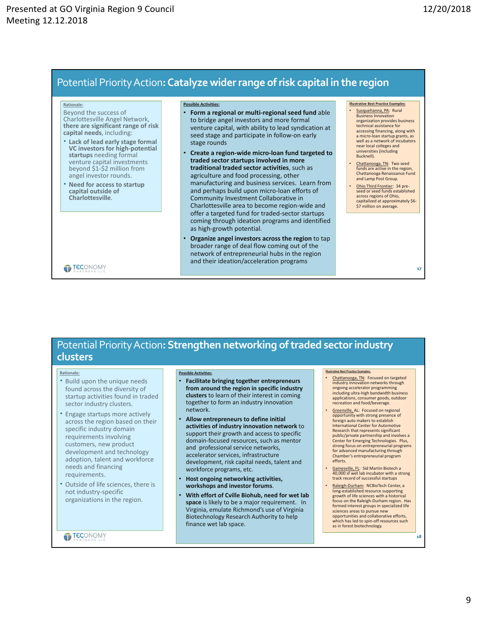# Potential PriorityAction**:Catalyze widerrange ofrisk capital in the region**

#### **Rationale:**

- Beyond the success of Charlottesville Angel Network, **there are significant range of risk capital needs**, including:
- **Lack of lead early stage formal VC investors for high‐potential startups** needing formal venture capital investments beyond \$1‐\$2 million from angel investor rounds.
- **Need for access to startup capital outside of Charlottesville**.

#### **Possible Activities:**

- **Form a regional or multi‐regional seed fund** able to bridge angel investors and more formal venture capital, with ability to lead syndication at seed stage and participate in follow‐on early stage rounds
- **Create a region‐wide micro‐loan fund targeted to traded sector startups involved in more traditional traded sector activities**, such as agriculture and food processing, other manufacturing and business services. Learn from and perhaps build upon micro‐loan efforts of Community Investment Collaborative in Charlottesville area to become region‐wide and offer a targeted fund for traded‐sector startups coming through ideation programs and identified as high‐growth potential.
- **Organize angel investors across the region** to tap broader range of deal flow coming out of the network of entrepreneurial hubs in the region and their ideation/acceleration programs

#### **Illustrative Best Practice Examples:**

- Susquehanna, PA: Rural Business Innovation organization provides business technical assistance for accessing financing, along with a micro‐loan startup grants, as well as a network of incubators near local colleges and universities (including Bucknell).
- Chattanooga, TN: Two seed funds are active in the region, Chattanooga Renaissance Fund and Lamp Post Group.
- Ohio Third Frontier: 34 pre‐ seed or seed funds established across regions of Ohio, capitalized at approximately \$6-\$7 million on average.

**17**

**18**

### **TECONOMY**

# **Potential Priority Action: Strengthen networking of traded sector industry clusters**

#### **Rationale:**

- Build upon the unique needs found across the diversity of startup activities found in traded sector industry clusters.
- Engage startups more actively across the region based on their specific industry domain requirements involving customers, new product development and technology adoption, talent and workforce needs and financing requirements.
- Outside of life sciences, there is not industry‐specific organizations in the region.

## **TECONOMY**

#### **Possible Activities:**

- **Facilitate bringing together entrepreneurs from around the region in specific industry clusters** to learn of their interest in coming together to form an industry innovation network.
- **Allow entrepreneurs to define initial activities of industry innovation network** to support their growth and access to specific domain‐focused resources, such as mentor and professional service networks, accelerator services, infrastructure development, risk capital needs, talent and workforce programs, etc.
- **Host ongoing networking activities, workshops and investor forums**.
- **With effort of Cville Biohub, need for wet lab space** is likely to be a major requirement. In Virginia, emulate Richmond's use of Virginia Biotechnology Research Authority to help finance wet lab space.

### **Illustrative Best Practice Examples:**

- Chattanooga, TN: Focused on targeted industry innovation networks through ongoing accelerator programming including ultra‐high bandwidth business applications, consumer goods, outdoor recreation and food/beverage.
- Greenville, AL: Focused on regional opportunity with strong presence of foreign auto makers to establish International Center for Automotive Research that represents significant public/private partnership and involves a Center for Emerging Technologies. Plus, strong focus on entrepreneurial programs for advanced manufacturing through Chamber's entrepreneurial program efforts.
- Gainesville, FL: Sid Martin Biotech a 40,000 sf wet lab incubator with a strong track record of successful startups
- Raleigh‐Durham: NCBioTech Center, a long‐established resource supporting growth of life sciences with a historical focus on the Raleigh‐Durham region. Has formed interest groups in specialized life sciences areas to pursue new opportunities and collaborative efforts, which has led to spin‐off resources such as in forest biotechnology.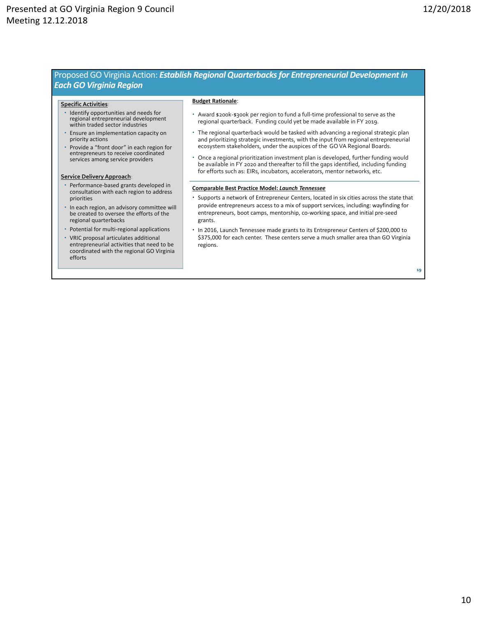## Proposed GO Virginia Action: *Establish Regional Quarterbacks for Entrepreneurial Development in Each GO Virginia Region*

#### **SpecificActivities**:

- Identify opportunities and needs for regional entrepreneurial development within traded sector industries
- Ensure an implementation capacity on priority actions
- Provide a "front door" in each region for entrepreneurs to receive coordinated services among service providers

#### **Service Delivery Approach**:

- Performance‐based grants developed in consultation with each region to address priorities
- In each region, an advisory committee will be created to oversee the efforts of the regional quarterbacks
- Potential for multi-regional applications
- VRIC proposal articulates additional entrepreneurial activities that need to be coordinated with the regional GO Virginia efforts

#### **Budget Rationale**:

- Award \$200k‐\$300k per region to fund a full‐time professional to serve as the regional quarterback. Funding could yet be made available in FY 2019.
- The regional quarterback would be tasked with advancing a regional strategic plan and prioritizing strategic investments, with the input from regional entrepreneurial ecosystem stakeholders, under the auspices of the GO VA Regional Boards.
- Once a regional prioritization investment plan is developed, further funding would be available in FY 2020 and thereafter to fill the gaps identified, including funding for efforts such as: EIRs, incubators, accelerators, mentor networks, etc.

#### **Comparable Best Practice Model:** *Launch Tennessee*

- Supports a network of Entrepreneur Centers, located in six cities across the state that provide entrepreneurs access to a mix of support services, including: wayfinding for entrepreneurs, boot camps, mentorship, co-working space, and initial pre-seed grants.
- In 2016, Launch Tennessee made grants to its Entrepreneur Centers of \$200,000 to \$375,000 for each center. These centers serve a much smaller area than GO Virginia regions.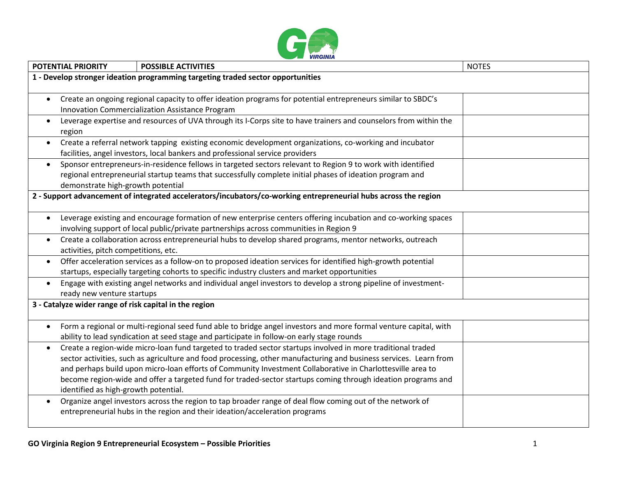

|           | <b>POTENTIAL PRIORITY</b>                                                                                                                     | <b>POSSIBLE ACTIVITIES</b>                                                                                        | <b>NOTES</b> |  |  |  |
|-----------|-----------------------------------------------------------------------------------------------------------------------------------------------|-------------------------------------------------------------------------------------------------------------------|--------------|--|--|--|
|           | 1 - Develop stronger ideation programming targeting traded sector opportunities                                                               |                                                                                                                   |              |  |  |  |
|           |                                                                                                                                               |                                                                                                                   |              |  |  |  |
| $\bullet$ |                                                                                                                                               | Create an ongoing regional capacity to offer ideation programs for potential entrepreneurs similar to SBDC's      |              |  |  |  |
|           | Innovation Commercialization Assistance Program                                                                                               |                                                                                                                   |              |  |  |  |
| $\bullet$ | Leverage expertise and resources of UVA through its I-Corps site to have trainers and counselors from within the                              |                                                                                                                   |              |  |  |  |
|           | region                                                                                                                                        |                                                                                                                   |              |  |  |  |
|           | Create a referral network tapping existing economic development organizations, co-working and incubator                                       |                                                                                                                   |              |  |  |  |
|           |                                                                                                                                               | facilities, angel investors, local bankers and professional service providers                                     |              |  |  |  |
|           | Sponsor entrepreneurs-in-residence fellows in targeted sectors relevant to Region 9 to work with identified<br>$\bullet$                      |                                                                                                                   |              |  |  |  |
|           | regional entrepreneurial startup teams that successfully complete initial phases of ideation program and<br>demonstrate high-growth potential |                                                                                                                   |              |  |  |  |
|           |                                                                                                                                               | 2 - Support advancement of integrated accelerators/incubators/co-working entrepreneurial hubs across the region   |              |  |  |  |
|           |                                                                                                                                               |                                                                                                                   |              |  |  |  |
|           |                                                                                                                                               | Leverage existing and encourage formation of new enterprise centers offering incubation and co-working spaces     |              |  |  |  |
|           | involving support of local public/private partnerships across communities in Region 9                                                         |                                                                                                                   |              |  |  |  |
| $\bullet$ | Create a collaboration across entrepreneurial hubs to develop shared programs, mentor networks, outreach                                      |                                                                                                                   |              |  |  |  |
|           | activities, pitch competitions, etc.                                                                                                          |                                                                                                                   |              |  |  |  |
| $\bullet$ |                                                                                                                                               | Offer acceleration services as a follow-on to proposed ideation services for identified high-growth potential     |              |  |  |  |
|           |                                                                                                                                               | startups, especially targeting cohorts to specific industry clusters and market opportunities                     |              |  |  |  |
| $\bullet$ | Engage with existing angel networks and individual angel investors to develop a strong pipeline of investment-                                |                                                                                                                   |              |  |  |  |
|           | ready new venture startups                                                                                                                    |                                                                                                                   |              |  |  |  |
|           | 3 - Catalyze wider range of risk capital in the region                                                                                        |                                                                                                                   |              |  |  |  |
|           |                                                                                                                                               |                                                                                                                   |              |  |  |  |
| $\bullet$ |                                                                                                                                               | Form a regional or multi-regional seed fund able to bridge angel investors and more formal venture capital, with  |              |  |  |  |
|           |                                                                                                                                               | ability to lead syndication at seed stage and participate in follow-on early stage rounds                         |              |  |  |  |
| $\bullet$ |                                                                                                                                               | Create a region-wide micro-loan fund targeted to traded sector startups involved in more traditional traded       |              |  |  |  |
|           |                                                                                                                                               | sector activities, such as agriculture and food processing, other manufacturing and business services. Learn from |              |  |  |  |
|           |                                                                                                                                               | and perhaps build upon micro-loan efforts of Community Investment Collaborative in Charlottesville area to        |              |  |  |  |
|           | become region-wide and offer a targeted fund for traded-sector startups coming through ideation programs and                                  |                                                                                                                   |              |  |  |  |
|           | identified as high-growth potential.                                                                                                          |                                                                                                                   |              |  |  |  |
|           |                                                                                                                                               | Organize angel investors across the region to tap broader range of deal flow coming out of the network of         |              |  |  |  |
|           |                                                                                                                                               | entrepreneurial hubs in the region and their ideation/acceleration programs                                       |              |  |  |  |
|           |                                                                                                                                               |                                                                                                                   |              |  |  |  |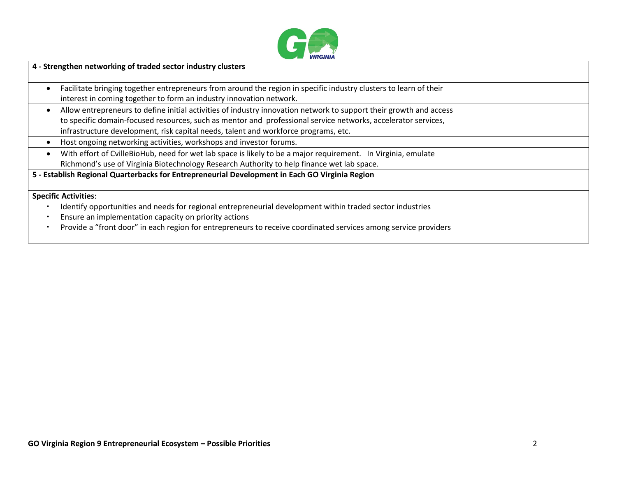

| 4 - Strengthen networking of traded sector industry clusters                                                                                                                                                                                                                                                               |  |
|----------------------------------------------------------------------------------------------------------------------------------------------------------------------------------------------------------------------------------------------------------------------------------------------------------------------------|--|
| Facilitate bringing together entrepreneurs from around the region in specific industry clusters to learn of their<br>interest in coming together to form an industry innovation network.                                                                                                                                   |  |
| Allow entrepreneurs to define initial activities of industry innovation network to support their growth and access<br>to specific domain-focused resources, such as mentor and professional service networks, accelerator services,<br>infrastructure development, risk capital needs, talent and workforce programs, etc. |  |
| Host ongoing networking activities, workshops and investor forums.                                                                                                                                                                                                                                                         |  |
| With effort of CvilleBioHub, need for wet lab space is likely to be a major requirement. In Virginia, emulate<br>Richmond's use of Virginia Biotechnology Research Authority to help finance wet lab space.                                                                                                                |  |
| 5 - Establish Regional Quarterbacks for Entrepreneurial Development in Each GO Virginia Region                                                                                                                                                                                                                             |  |
| <b>Specific Activities:</b>                                                                                                                                                                                                                                                                                                |  |
| Identify opportunities and needs for regional entrepreneurial development within traded sector industries                                                                                                                                                                                                                  |  |
| Ensure an implementation capacity on priority actions                                                                                                                                                                                                                                                                      |  |
| Provide a "front door" in each region for entrepreneurs to receive coordinated services among service providers                                                                                                                                                                                                            |  |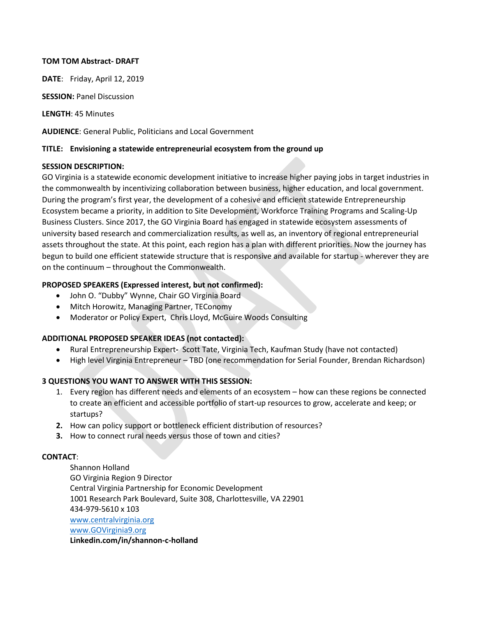## **TOM TOM Abstract- DRAFT**

**DATE**: Friday, April 12, 2019

**SESSION: Panel Discussion** 

**LENGTH**: 45 Minutes

**AUDIENCE**: General Public, Politicians and Local Government

## **TITLE: Envisioning a statewide entrepreneurial ecosystem from the ground up**

## **SESSION DESCRIPTION:**

GO Virginia is a statewide economic development initiative to increase higher paying jobs in target industries in the commonwealth by incentivizing collaboration between business, higher education, and local government. During the program's first year, the development of a cohesive and efficient statewide Entrepreneurship Ecosystem became a priority, in addition to Site Development, Workforce Training Programs and Scaling-Up Business Clusters. Since 2017, the GO Virginia Board has engaged in statewide ecosystem assessments of university based research and commercialization results, as well as, an inventory of regional entrepreneurial assets throughout the state. At this point, each region has a plan with different priorities. Now the journey has begun to build one efficient statewide structure that is responsive and available for startup - wherever they are on the continuum – throughout the Commonwealth.

## **PROPOSED SPEAKERS (Expressed interest, but not confirmed):**

- John O. "Dubby" Wynne, Chair GO Virginia Board
- Mitch Horowitz, Managing Partner, TEConomy
- Moderator or Policy Expert, Chris Lloyd, McGuire Woods Consulting

## **ADDITIONAL PROPOSED SPEAKER IDEAS (not contacted):**

- Rural Entrepreneurship Expert**-** Scott Tate, Virginia Tech, Kaufman Study (have not contacted)
- High level Virginia Entrepreneur TBD (one recommendation for Serial Founder, Brendan Richardson)

# **3 QUESTIONS YOU WANT TO ANSWER WITH THIS SESSION:**

- 1. Every region has different needs and elements of an ecosystem how can these regions be connected to create an efficient and accessible portfolio of start-up resources to grow, accelerate and keep; or startups?
- **2.** How can policy support or bottleneck efficient distribution of resources?
- **3.** How to connect rural needs versus those of town and cities?

## **CONTACT**:

Shannon Holland GO Virginia Region 9 Director Central Virginia Partnership for Economic Development 1001 Research Park Boulevard, Suite 308, Charlottesville, VA 22901 434-979-5610 x 103 [www.centralvirginia.org](http://www.centralvirginia.org/) [www.GOVirginia9.org](http://www.govirginia9.org/) **Linkedin.com/in/shannon-c-holland**